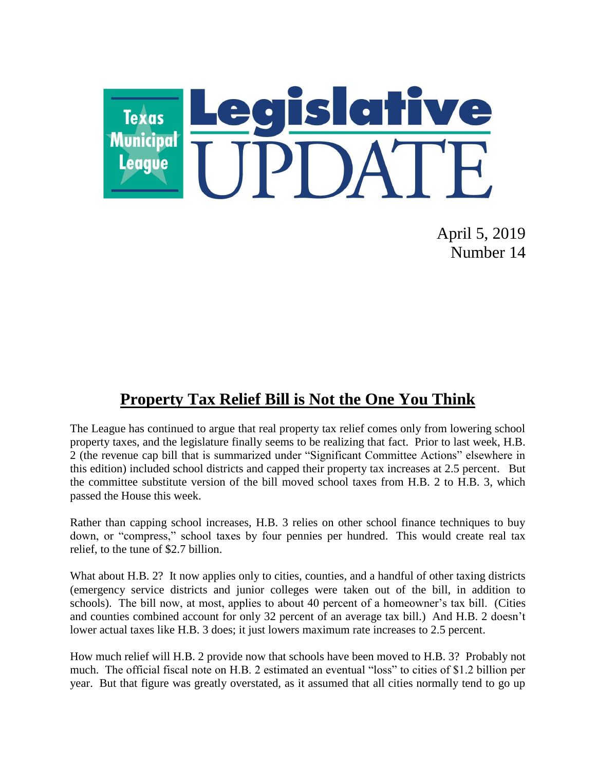

April 5, 2019 Number 14

### **Property Tax Relief Bill is Not the One You Think**

The League has continued to argue that real property tax relief comes only from lowering school property taxes, and the legislature finally seems to be realizing that fact. Prior to last week, H.B. 2 (the revenue cap bill that is summarized under "Significant Committee Actions" elsewhere in this edition) included school districts and capped their property tax increases at 2.5 percent. But the committee substitute version of the bill moved school taxes from H.B. 2 to H.B. 3, which passed the House this week.

Rather than capping school increases, H.B. 3 relies on other school finance techniques to buy down, or "compress," school taxes by four pennies per hundred. This would create real tax relief, to the tune of \$2.7 billion.

What about H.B. 2? It now applies only to cities, counties, and a handful of other taxing districts (emergency service districts and junior colleges were taken out of the bill, in addition to schools). The bill now, at most, applies to about 40 percent of a homeowner's tax bill. (Cities and counties combined account for only 32 percent of an average tax bill.) And H.B. 2 doesn't lower actual taxes like H.B. 3 does; it just lowers maximum rate increases to 2.5 percent.

How much relief will H.B. 2 provide now that schools have been moved to H.B. 3? Probably not much. The official fiscal note on H.B. 2 estimated an eventual "loss" to cities of \$1.2 billion per year. But that figure was greatly overstated, as it assumed that all cities normally tend to go up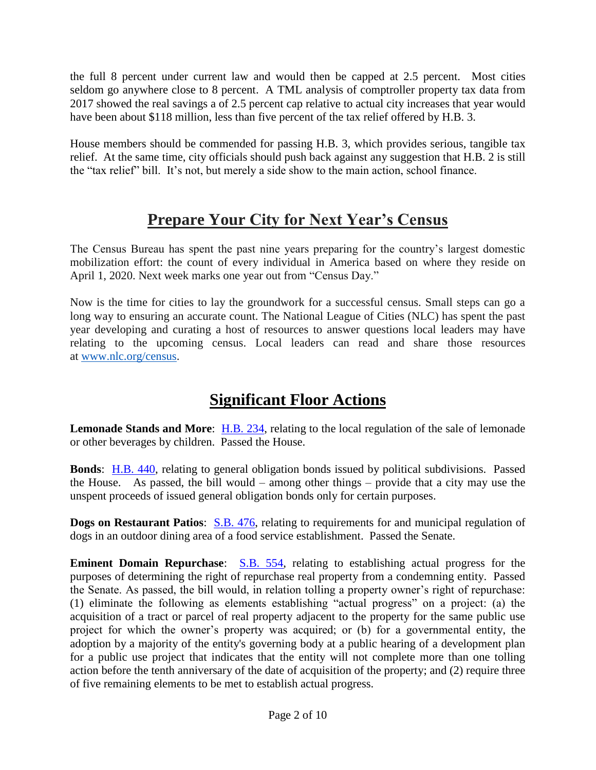the full 8 percent under current law and would then be capped at 2.5 percent. Most cities seldom go anywhere close to 8 percent. A TML analysis of comptroller property tax data from 2017 showed the real savings a of 2.5 percent cap relative to actual city increases that year would have been about \$118 million, less than five percent of the tax relief offered by H.B. 3.

House members should be commended for passing H.B. 3, which provides serious, tangible tax relief. At the same time, city officials should push back against any suggestion that H.B. 2 is still the "tax relief" bill. It's not, but merely a side show to the main action, school finance.

# **Prepare Your City for Next Year's Census**

The Census Bureau has spent the past nine years preparing for the country's largest domestic mobilization effort: the count of every individual in America based on where they reside on April 1, 2020. Next week marks one year out from "Census Day."

Now is the time for cities to lay the groundwork for a successful census. Small steps can go a long way to ensuring an accurate count. The National League of Cities (NLC) has spent the past year developing and curating a host of resources to answer questions local leaders may have relating to the upcoming census. Local leaders can read and share those resources at [www.nlc.org/census.](http://www.nlc.org/census)

## **Significant Floor Actions**

**Lemonade Stands and More**: [H.B. 234,](https://capitol.texas.gov/BillLookup/History.aspx?LegSess=86R&Bill=HB234) relating to the local regulation of the sale of lemonade or other beverages by children. Passed the House.

**Bonds**: [H.B. 440,](https://capitol.texas.gov/BillLookup/History.aspx?LegSess=86R&Bill=HB440) relating to general obligation bonds issued by political subdivisions. Passed the House. As passed, the bill would – among other things – provide that a city may use the unspent proceeds of issued general obligation bonds only for certain purposes.

**Dogs on Restaurant Patios:** [S.B. 476,](https://capitol.texas.gov/BillLookup/History.aspx?LegSess=86R&Bill=SB476) relating to requirements for and municipal regulation of dogs in an outdoor dining area of a food service establishment. Passed the Senate.

**Eminent Domain Repurchase**: [S.B. 554,](https://capitol.texas.gov/BillLookup/History.aspx?LegSess=86R&Bill=SB554) relating to establishing actual progress for the purposes of determining the right of repurchase real property from a condemning entity. Passed the Senate. As passed, the bill would, in relation tolling a property owner's right of repurchase: (1) eliminate the following as elements establishing "actual progress" on a project: (a) the acquisition of a tract or parcel of real property adjacent to the property for the same public use project for which the owner's property was acquired; or (b) for a governmental entity, the adoption by a majority of the entity's governing body at a public hearing of a development plan for a public use project that indicates that the entity will not complete more than one tolling action before the tenth anniversary of the date of acquisition of the property; and (2) require three of five remaining elements to be met to establish actual progress.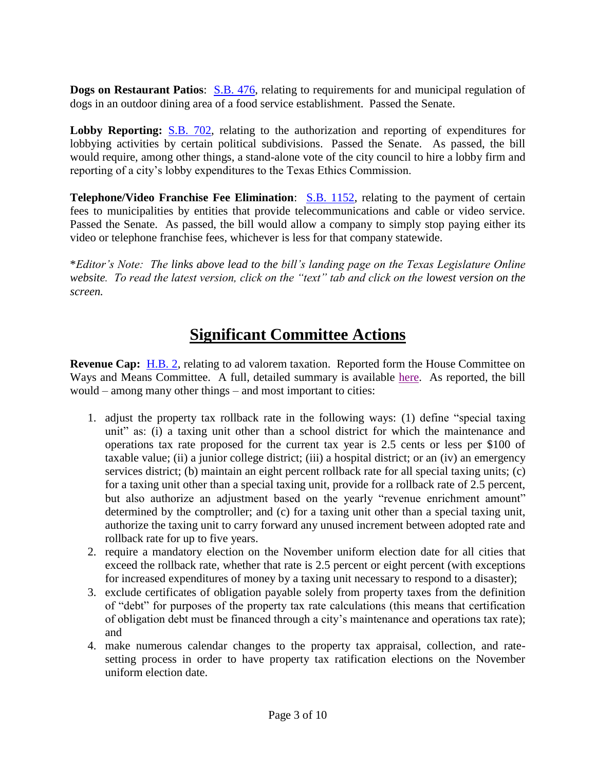**Dogs on Restaurant Patios:** [S.B. 476,](https://capitol.texas.gov/BillLookup/History.aspx?LegSess=86R&Bill=SB476) relating to requirements for and municipal regulation of dogs in an outdoor dining area of a food service establishment. Passed the Senate.

Lobby Reporting: [S.B. 702,](https://capitol.texas.gov/BillLookup/History.aspx?LegSess=86R&Bill=SB702) relating to the authorization and reporting of expenditures for lobbying activities by certain political subdivisions. Passed the Senate. As passed, the bill would require, among other things, a stand-alone vote of the city council to hire a lobby firm and reporting of a city's lobby expenditures to the Texas Ethics Commission.

**Telephone/Video Franchise Fee Elimination:** [S.B. 1152,](https://capitol.texas.gov/BillLookup/History.aspx?LegSess=86R&Bill=SB1152) relating to the payment of certain fees to municipalities by entities that provide telecommunications and cable or video service. Passed the Senate. As passed, the bill would allow a company to simply stop paying either its video or telephone franchise fees, whichever is less for that company statewide.

\**Editor's Note: The links above lead to the bill's landing page on the Texas Legislature Online website. To read the latest version, click on the "text" tab and click on the lowest version on the screen.*

### **Significant Committee Actions**

**Revenue Cap:** [H.B. 2,](https://capitol.texas.gov/BillLookup/History.aspx?LegSess=86R&Bill=HB2) relating to ad valorem taxation. Reported form the House Committee on Ways and Means Committee. A full, detailed summary is available [here.](https://tx-texasmunicipalleague.civicplus.com/DocumentCenter/View/1126/CSHB2_summary) As reported, the bill would – among many other things – and most important to cities:

- 1. adjust the property tax rollback rate in the following ways: (1) define "special taxing unit" as: (i) a taxing unit other than a school district for which the maintenance and operations tax rate proposed for the current tax year is 2.5 cents or less per \$100 of taxable value; (ii) a junior college district; (iii) a hospital district; or an (iv) an emergency services district; (b) maintain an eight percent rollback rate for all special taxing units; (c) for a taxing unit other than a special taxing unit, provide for a rollback rate of 2.5 percent, but also authorize an adjustment based on the yearly "revenue enrichment amount" determined by the comptroller; and (c) for a taxing unit other than a special taxing unit, authorize the taxing unit to carry forward any unused increment between adopted rate and rollback rate for up to five years.
- 2. require a mandatory election on the November uniform election date for all cities that exceed the rollback rate, whether that rate is 2.5 percent or eight percent (with exceptions for increased expenditures of money by a taxing unit necessary to respond to a disaster);
- 3. exclude certificates of obligation payable solely from property taxes from the definition of "debt" for purposes of the property tax rate calculations (this means that certification of obligation debt must be financed through a city's maintenance and operations tax rate); and
- 4. make numerous calendar changes to the property tax appraisal, collection, and ratesetting process in order to have property tax ratification elections on the November uniform election date.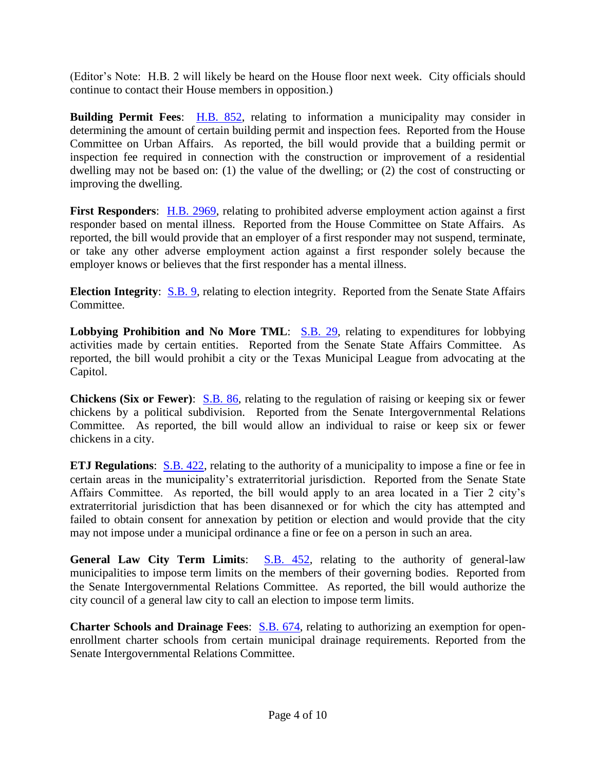(Editor's Note: H.B. 2 will likely be heard on the House floor next week. City officials should continue to contact their House members in opposition.)

**Building Permit Fees**: [H.B. 852,](https://capitol.texas.gov/BillLookup/History.aspx?LegSess=86R&Bill=HB852) relating to information a municipality may consider in determining the amount of certain building permit and inspection fees. Reported from the House Committee on Urban Affairs. As reported, the bill would provide that a building permit or inspection fee required in connection with the construction or improvement of a residential dwelling may not be based on: (1) the value of the dwelling; or (2) the cost of constructing or improving the dwelling.

**First Responders**: [H.B. 2969,](https://capitol.texas.gov/BillLookup/History.aspx?LegSess=86R&Bill=HB2969) relating to prohibited adverse employment action against a first responder based on mental illness. Reported from the House Committee on State Affairs. As reported, the bill would provide that an employer of a first responder may not suspend, terminate, or take any other adverse employment action against a first responder solely because the employer knows or believes that the first responder has a mental illness.

**Election Integrity:** [S.B. 9,](https://capitol.texas.gov/BillLookup/History.aspx?LegSess=86R&Bill=SB9) relating to election integrity. Reported from the Senate State Affairs Committee.

Lobbying Prohibition and No More TML: **S.B. 29**, relating to expenditures for lobbying activities made by certain entities. Reported from the Senate State Affairs Committee. As reported, the bill would prohibit a city or the Texas Municipal League from advocating at the Capitol.

**Chickens (Six or Fewer):** [S.B. 86,](https://capitol.texas.gov/BillLookup/History.aspx?LegSess=86R&Bill=SB86) relating to the regulation of raising or keeping six or fewer chickens by a political subdivision. Reported from the Senate Intergovernmental Relations Committee. As reported, the bill would allow an individual to raise or keep six or fewer chickens in a city.

**ETJ Regulations:** [S.B. 422,](https://capitol.texas.gov/BillLookup/History.aspx?LegSess=86R&Bill=SB422) relating to the authority of a municipality to impose a fine or fee in certain areas in the municipality's extraterritorial jurisdiction. Reported from the Senate State Affairs Committee. As reported, the bill would apply to an area located in a Tier 2 city's extraterritorial jurisdiction that has been disannexed or for which the city has attempted and failed to obtain consent for annexation by petition or election and would provide that the city may not impose under a municipal ordinance a fine or fee on a person in such an area.

**General Law City Term Limits: S.B. 452**, relating to the authority of general-law municipalities to impose term limits on the members of their governing bodies. Reported from the Senate Intergovernmental Relations Committee. As reported, the bill would authorize the city council of a general law city to call an election to impose term limits.

**Charter Schools and Drainage Fees:** [S.B. 674,](https://capitol.texas.gov/BillLookup/History.aspx?LegSess=86R&Bill=SB674) relating to authorizing an exemption for openenrollment charter schools from certain municipal drainage requirements. Reported from the Senate Intergovernmental Relations Committee.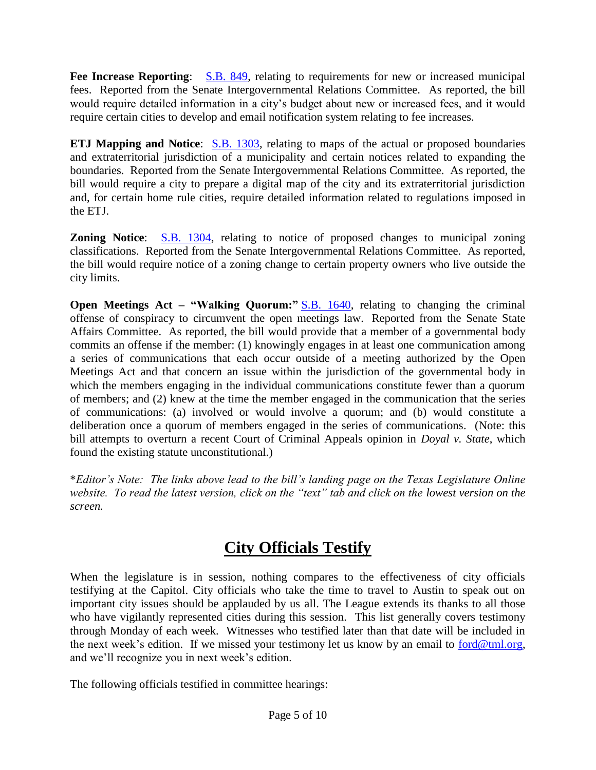**Fee Increase Reporting**: [S.B. 849,](https://capitol.texas.gov/BillLookup/History.aspx?LegSess=86R&Bill=SB849) relating to requirements for new or increased municipal fees. Reported from the Senate Intergovernmental Relations Committee. As reported, the bill would require detailed information in a city's budget about new or increased fees, and it would require certain cities to develop and email notification system relating to fee increases.

**ETJ Mapping and Notice:** [S.B. 1303,](https://capitol.texas.gov/BillLookup/History.aspx?LegSess=86R&Bill=SB1303) relating to maps of the actual or proposed boundaries and extraterritorial jurisdiction of a municipality and certain notices related to expanding the boundaries. Reported from the Senate Intergovernmental Relations Committee. As reported, the bill would require a city to prepare a digital map of the city and its extraterritorial jurisdiction and, for certain home rule cities, require detailed information related to regulations imposed in the ETJ.

**Zoning Notice**: [S.B. 1304,](https://capitol.texas.gov/BillLookup/History.aspx?LegSess=86R&Bill=SB1304) relating to notice of proposed changes to municipal zoning classifications. Reported from the Senate Intergovernmental Relations Committee. As reported, the bill would require notice of a zoning change to certain property owners who live outside the city limits.

**Open Meetings Act – "Walking Quorum:"** [S.B. 1640,](https://capitol.texas.gov/BillLookup/History.aspx?LegSess=86R&Bill=SB1640) relating to changing the criminal offense of conspiracy to circumvent the open meetings law. Reported from the Senate State Affairs Committee. As reported, the bill would provide that a member of a governmental body commits an offense if the member: (1) knowingly engages in at least one communication among a series of communications that each occur outside of a meeting authorized by the Open Meetings Act and that concern an issue within the jurisdiction of the governmental body in which the members engaging in the individual communications constitute fewer than a quorum of members; and (2) knew at the time the member engaged in the communication that the series of communications: (a) involved or would involve a quorum; and (b) would constitute a deliberation once a quorum of members engaged in the series of communications. (Note: this bill attempts to overturn a recent Court of Criminal Appeals opinion in *Doyal v. State*, which found the existing statute unconstitutional.)

\**Editor's Note: The links above lead to the bill's landing page on the Texas Legislature Online website. To read the latest version, click on the "text" tab and click on the lowest version on the screen.*

## **City Officials Testify**

When the legislature is in session, nothing compares to the effectiveness of city officials testifying at the Capitol. City officials who take the time to travel to Austin to speak out on important city issues should be applauded by us all. The League extends its thanks to all those who have vigilantly represented cities during this session. This list generally covers testimony through Monday of each week. Witnesses who testified later than that date will be included in the next week's edition. If we missed your testimony let us know by an email to [ford@tml.org,](mailto:ford@tml.org) and we'll recognize you in next week's edition.

The following officials testified in committee hearings: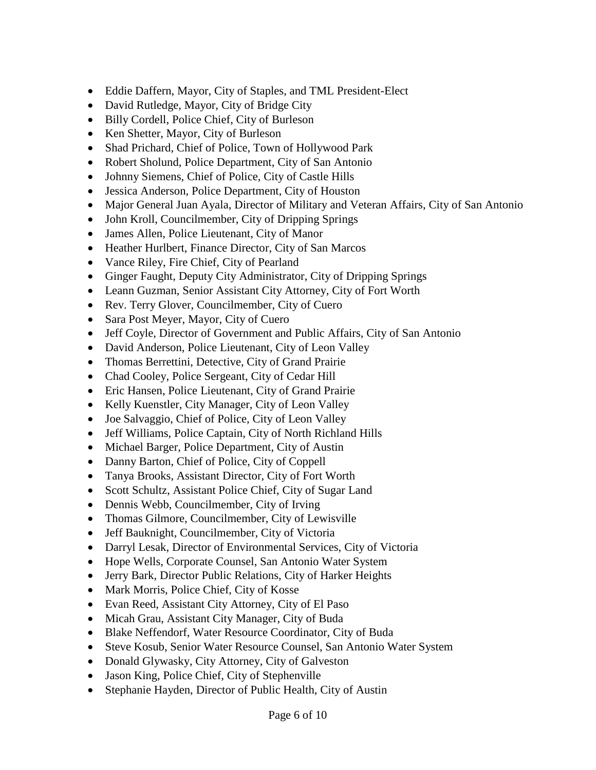- Eddie Daffern, Mayor, City of Staples, and TML President-Elect
- David Rutledge, Mayor, City of Bridge City
- Billy Cordell, Police Chief, City of Burleson
- Ken Shetter, Mayor, City of Burleson
- Shad Prichard, Chief of Police, Town of Hollywood Park
- Robert Sholund, Police Department, City of San Antonio
- Johnny Siemens, Chief of Police, City of Castle Hills
- Jessica Anderson, Police Department, City of Houston
- Major General Juan Ayala, Director of Military and Veteran Affairs, City of San Antonio
- John Kroll, Councilmember, City of Dripping Springs
- James Allen, Police Lieutenant, City of Manor
- Heather Hurlbert, Finance Director, City of San Marcos
- Vance Riley, Fire Chief, City of Pearland
- Ginger Faught, Deputy City Administrator, City of Dripping Springs
- Leann Guzman, Senior Assistant City Attorney, City of Fort Worth
- Rev. Terry Glover, Councilmember, City of Cuero
- Sara Post Meyer, Mayor, City of Cuero
- Jeff Coyle, Director of Government and Public Affairs, City of San Antonio
- David Anderson, Police Lieutenant, City of Leon Valley
- Thomas Berrettini, Detective, City of Grand Prairie
- Chad Cooley, Police Sergeant, City of Cedar Hill
- Eric Hansen, Police Lieutenant, City of Grand Prairie
- Kelly Kuenstler, City Manager, City of Leon Valley
- Joe Salvaggio, Chief of Police, City of Leon Valley
- Jeff Williams, Police Captain, City of North Richland Hills
- Michael Barger, Police Department, City of Austin
- Danny Barton, Chief of Police, City of Coppell
- Tanya Brooks, Assistant Director, City of Fort Worth
- Scott Schultz, Assistant Police Chief, City of Sugar Land
- Dennis Webb, Councilmember, City of Irving
- Thomas Gilmore, Councilmember, City of Lewisville
- Jeff Bauknight, Councilmember, City of Victoria
- Darryl Lesak, Director of Environmental Services, City of Victoria
- Hope Wells, Corporate Counsel, San Antonio Water System
- Jerry Bark, Director Public Relations, City of Harker Heights
- Mark Morris, Police Chief, City of Kosse
- Evan Reed, Assistant City Attorney, City of El Paso
- Micah Grau, Assistant City Manager, City of Buda
- Blake Neffendorf, Water Resource Coordinator, City of Buda
- Steve Kosub, Senior Water Resource Counsel, San Antonio Water System
- Donald Glywasky, City Attorney, City of Galveston
- Jason King, Police Chief, City of Stephenville
- Stephanie Hayden, Director of Public Health, City of Austin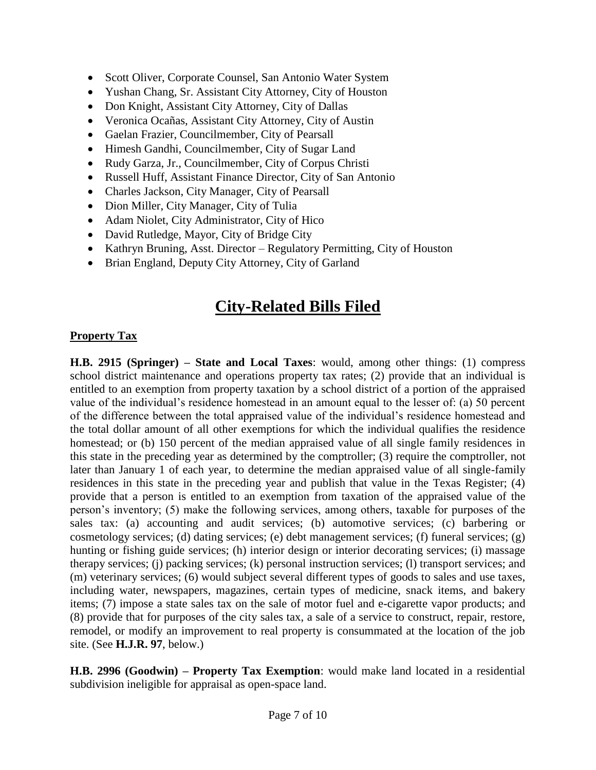- Scott Oliver, Corporate Counsel, San Antonio Water System
- Yushan Chang, Sr. Assistant City Attorney, City of Houston
- Don Knight, Assistant City Attorney, City of Dallas
- Veronica Ocañas, Assistant City Attorney, City of Austin
- Gaelan Frazier, Councilmember, City of Pearsall
- Himesh Gandhi, Councilmember, City of Sugar Land
- Rudy Garza, Jr., Councilmember, City of Corpus Christi
- Russell Huff, Assistant Finance Director, City of San Antonio
- Charles Jackson, City Manager, City of Pearsall
- Dion Miller, City Manager, City of Tulia
- Adam Niolet, City Administrator, City of Hico
- David Rutledge, Mayor, City of Bridge City
- Kathryn Bruning, Asst. Director Regulatory Permitting, City of Houston
- Brian England, Deputy City Attorney, City of Garland

### **City-Related Bills Filed**

#### **Property Tax**

**H.B. 2915 (Springer) – State and Local Taxes**: would, among other things: (1) compress school district maintenance and operations property tax rates; (2) provide that an individual is entitled to an exemption from property taxation by a school district of a portion of the appraised value of the individual's residence homestead in an amount equal to the lesser of: (a) 50 percent of the difference between the total appraised value of the individual's residence homestead and the total dollar amount of all other exemptions for which the individual qualifies the residence homestead; or (b) 150 percent of the median appraised value of all single family residences in this state in the preceding year as determined by the comptroller; (3) require the comptroller, not later than January 1 of each year, to determine the median appraised value of all single-family residences in this state in the preceding year and publish that value in the Texas Register; (4) provide that a person is entitled to an exemption from taxation of the appraised value of the person's inventory; (5) make the following services, among others, taxable for purposes of the sales tax: (a) accounting and audit services; (b) automotive services; (c) barbering or cosmetology services; (d) dating services; (e) debt management services; (f) funeral services; (g) hunting or fishing guide services; (h) interior design or interior decorating services; (i) massage therapy services; (j) packing services; (k) personal instruction services; (l) transport services; and (m) veterinary services; (6) would subject several different types of goods to sales and use taxes, including water, newspapers, magazines, certain types of medicine, snack items, and bakery items; (7) impose a state sales tax on the sale of motor fuel and e-cigarette vapor products; and (8) provide that for purposes of the city sales tax, a sale of a service to construct, repair, restore, remodel, or modify an improvement to real property is consummated at the location of the job site. (See **H.J.R. 97**, below.)

**H.B. 2996 (Goodwin) – Property Tax Exemption**: would make land located in a residential subdivision ineligible for appraisal as open-space land.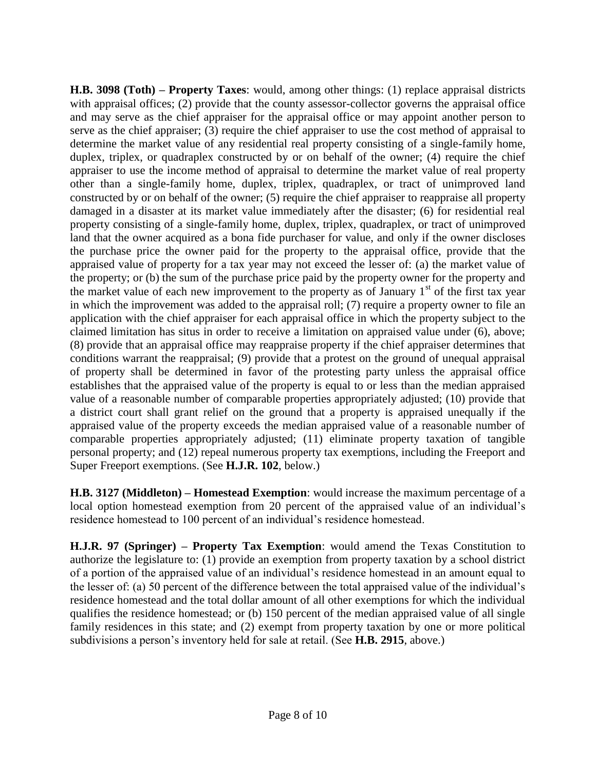**H.B. 3098 (Toth) – Property Taxes**: would, among other things: (1) replace appraisal districts with appraisal offices; (2) provide that the county assessor-collector governs the appraisal office and may serve as the chief appraiser for the appraisal office or may appoint another person to serve as the chief appraiser; (3) require the chief appraiser to use the cost method of appraisal to determine the market value of any residential real property consisting of a single-family home, duplex, triplex, or quadraplex constructed by or on behalf of the owner; (4) require the chief appraiser to use the income method of appraisal to determine the market value of real property other than a single-family home, duplex, triplex, quadraplex, or tract of unimproved land constructed by or on behalf of the owner; (5) require the chief appraiser to reappraise all property damaged in a disaster at its market value immediately after the disaster; (6) for residential real property consisting of a single-family home, duplex, triplex, quadraplex, or tract of unimproved land that the owner acquired as a bona fide purchaser for value, and only if the owner discloses the purchase price the owner paid for the property to the appraisal office, provide that the appraised value of property for a tax year may not exceed the lesser of: (a) the market value of the property; or (b) the sum of the purchase price paid by the property owner for the property and the market value of each new improvement to the property as of January  $1<sup>st</sup>$  of the first tax year in which the improvement was added to the appraisal roll; (7) require a property owner to file an application with the chief appraiser for each appraisal office in which the property subject to the claimed limitation has situs in order to receive a limitation on appraised value under (6), above; (8) provide that an appraisal office may reappraise property if the chief appraiser determines that conditions warrant the reappraisal; (9) provide that a protest on the ground of unequal appraisal of property shall be determined in favor of the protesting party unless the appraisal office establishes that the appraised value of the property is equal to or less than the median appraised value of a reasonable number of comparable properties appropriately adjusted; (10) provide that a district court shall grant relief on the ground that a property is appraised unequally if the appraised value of the property exceeds the median appraised value of a reasonable number of comparable properties appropriately adjusted; (11) eliminate property taxation of tangible personal property; and (12) repeal numerous property tax exemptions, including the Freeport and Super Freeport exemptions. (See **H.J.R. 102**, below.)

**H.B. 3127 (Middleton) – Homestead Exemption**: would increase the maximum percentage of a local option homestead exemption from 20 percent of the appraised value of an individual's residence homestead to 100 percent of an individual's residence homestead.

**H.J.R. 97 (Springer) – Property Tax Exemption**: would amend the Texas Constitution to authorize the legislature to: (1) provide an exemption from property taxation by a school district of a portion of the appraised value of an individual's residence homestead in an amount equal to the lesser of: (a) 50 percent of the difference between the total appraised value of the individual's residence homestead and the total dollar amount of all other exemptions for which the individual qualifies the residence homestead; or (b) 150 percent of the median appraised value of all single family residences in this state; and (2) exempt from property taxation by one or more political subdivisions a person's inventory held for sale at retail. (See **H.B. 2915**, above.)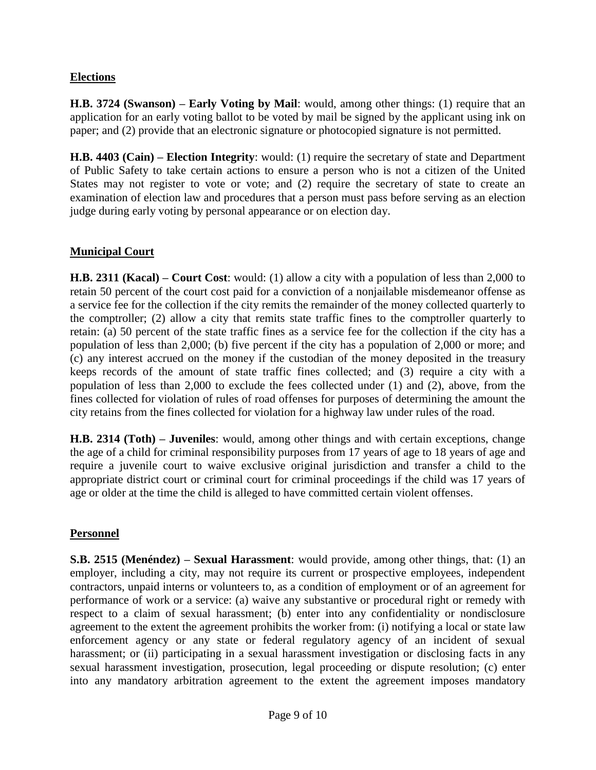#### **Elections**

**H.B. 3724 (Swanson) – Early Voting by Mail**: would, among other things: (1) require that an application for an early voting ballot to be voted by mail be signed by the applicant using ink on paper; and (2) provide that an electronic signature or photocopied signature is not permitted.

**H.B. 4403 (Cain) – Election Integrity**: would: (1) require the secretary of state and Department of Public Safety to take certain actions to ensure a person who is not a citizen of the United States may not register to vote or vote; and (2) require the secretary of state to create an examination of election law and procedures that a person must pass before serving as an election judge during early voting by personal appearance or on election day.

#### **Municipal Court**

**H.B. 2311 (Kacal) – Court Cost**: would: (1) allow a city with a population of less than 2,000 to retain 50 percent of the court cost paid for a conviction of a nonjailable misdemeanor offense as a service fee for the collection if the city remits the remainder of the money collected quarterly to the comptroller; (2) allow a city that remits state traffic fines to the comptroller quarterly to retain: (a) 50 percent of the state traffic fines as a service fee for the collection if the city has a population of less than 2,000; (b) five percent if the city has a population of 2,000 or more; and (c) any interest accrued on the money if the custodian of the money deposited in the treasury keeps records of the amount of state traffic fines collected; and (3) require a city with a population of less than 2,000 to exclude the fees collected under (1) and (2), above, from the fines collected for violation of rules of road offenses for purposes of determining the amount the city retains from the fines collected for violation for a highway law under rules of the road.

**H.B. 2314 (Toth) – Juveniles**: would, among other things and with certain exceptions, change the age of a child for criminal responsibility purposes from 17 years of age to 18 years of age and require a juvenile court to waive exclusive original jurisdiction and transfer a child to the appropriate district court or criminal court for criminal proceedings if the child was 17 years of age or older at the time the child is alleged to have committed certain violent offenses.

#### **Personnel**

**S.B. 2515 (Menéndez) – Sexual Harassment**: would provide, among other things, that: (1) an employer, including a city, may not require its current or prospective employees, independent contractors, unpaid interns or volunteers to, as a condition of employment or of an agreement for performance of work or a service: (a) waive any substantive or procedural right or remedy with respect to a claim of sexual harassment; (b) enter into any confidentiality or nondisclosure agreement to the extent the agreement prohibits the worker from: (i) notifying a local or state law enforcement agency or any state or federal regulatory agency of an incident of sexual harassment; or (ii) participating in a sexual harassment investigation or disclosing facts in any sexual harassment investigation, prosecution, legal proceeding or dispute resolution; (c) enter into any mandatory arbitration agreement to the extent the agreement imposes mandatory